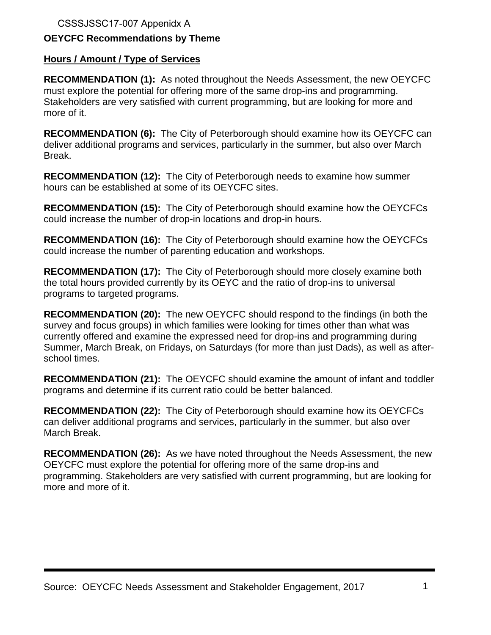CSSSJSSC17-007 Appenidx A

# **OEYCFC Recommendations by Theme**

## **Hours / Amount / Type of Services**

**RECOMMENDATION (1):** As noted throughout the Needs Assessment, the new OEYCFC must explore the potential for offering more of the same drop-ins and programming. Stakeholders are very satisfied with current programming, but are looking for more and more of it.

**RECOMMENDATION (6):** The City of Peterborough should examine how its OEYCFC can deliver additional programs and services, particularly in the summer, but also over March Break.

**RECOMMENDATION (12):** The City of Peterborough needs to examine how summer hours can be established at some of its OEYCFC sites.

**RECOMMENDATION (15):** The City of Peterborough should examine how the OEYCFCs could increase the number of drop-in locations and drop-in hours.

**RECOMMENDATION (16):** The City of Peterborough should examine how the OEYCFCs could increase the number of parenting education and workshops.

**RECOMMENDATION (17):** The City of Peterborough should more closely examine both the total hours provided currently by its OEYC and the ratio of drop-ins to universal programs to targeted programs.

**RECOMMENDATION (20):** The new OEYCFC should respond to the findings (in both the survey and focus groups) in which families were looking for times other than what was currently offered and examine the expressed need for drop-ins and programming during Summer, March Break, on Fridays, on Saturdays (for more than just Dads), as well as afterschool times.

**RECOMMENDATION (21):** The OEYCFC should examine the amount of infant and toddler programs and determine if its current ratio could be better balanced.

**RECOMMENDATION (22):** The City of Peterborough should examine how its OEYCFCs can deliver additional programs and services, particularly in the summer, but also over March Break.

**RECOMMENDATION (26):** As we have noted throughout the Needs Assessment, the new OEYCFC must explore the potential for offering more of the same drop-ins and programming. Stakeholders are very satisfied with current programming, but are looking for more and more of it.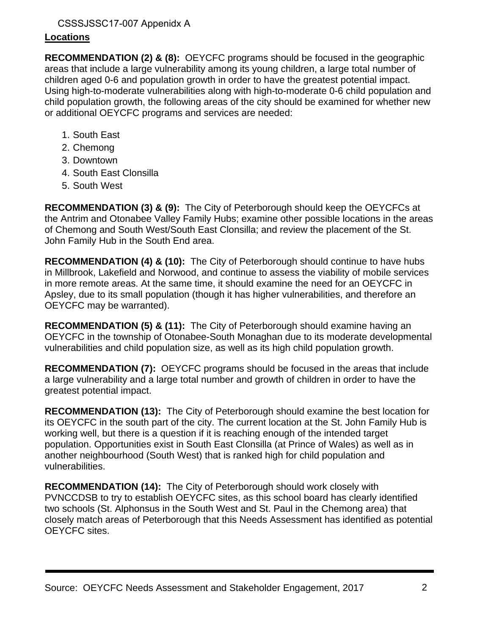# CSSSJSSC17-007 Appenidx A

# **Locations**

**RECOMMENDATION (2) & (8):** OEYCFC programs should be focused in the geographic areas that include a large vulnerability among its young children, a large total number of children aged 0-6 and population growth in order to have the greatest potential impact. Using high-to-moderate vulnerabilities along with high-to-moderate 0-6 child population and child population growth, the following areas of the city should be examined for whether new or additional OEYCFC programs and services are needed:

- 1. South East
- 2. Chemong
- 3. Downtown
- 4. South East Clonsilla
- 5. South West

**RECOMMENDATION (3) & (9):** The City of Peterborough should keep the OEYCFCs at the Antrim and Otonabee Valley Family Hubs; examine other possible locations in the areas of Chemong and South West/South East Clonsilla; and review the placement of the St. John Family Hub in the South End area.

**RECOMMENDATION (4) & (10):** The City of Peterborough should continue to have hubs in Millbrook, Lakefield and Norwood, and continue to assess the viability of mobile services in more remote areas. At the same time, it should examine the need for an OEYCFC in Apsley, due to its small population (though it has higher vulnerabilities, and therefore an OEYCFC may be warranted).

**RECOMMENDATION (5) & (11):** The City of Peterborough should examine having an OEYCFC in the township of Otonabee-South Monaghan due to its moderate developmental vulnerabilities and child population size, as well as its high child population growth.

**RECOMMENDATION (7):** OEYCFC programs should be focused in the areas that include a large vulnerability and a large total number and growth of children in order to have the greatest potential impact.

**RECOMMENDATION (13):** The City of Peterborough should examine the best location for its OEYCFC in the south part of the city. The current location at the St. John Family Hub is working well, but there is a question if it is reaching enough of the intended target population. Opportunities exist in South East Clonsilla (at Prince of Wales) as well as in another neighbourhood (South West) that is ranked high for child population and vulnerabilities.

**RECOMMENDATION (14):** The City of Peterborough should work closely with PVNCCDSB to try to establish OEYCFC sites, as this school board has clearly identified two schools (St. Alphonsus in the South West and St. Paul in the Chemong area) that closely match areas of Peterborough that this Needs Assessment has identified as potential OEYCFC sites.